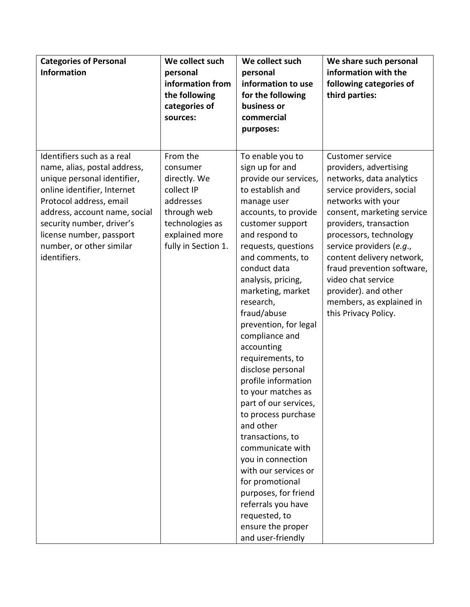| <b>Categories of Personal</b><br><b>Information</b>                                                                                                                                                                                                                                       | We collect such<br>personal<br>information from<br>the following<br>categories of<br>sources:                                              | We collect such<br>personal<br>information to use<br>for the following<br>business or<br>commercial<br>purposes:                                                                                                                                                                                                                                                                                                                                                                                                                                                                                                                                                                                                             | We share such personal<br>information with the<br>following categories of<br>third parties:                                                                                                                                                                                                                                                                                                                 |
|-------------------------------------------------------------------------------------------------------------------------------------------------------------------------------------------------------------------------------------------------------------------------------------------|--------------------------------------------------------------------------------------------------------------------------------------------|------------------------------------------------------------------------------------------------------------------------------------------------------------------------------------------------------------------------------------------------------------------------------------------------------------------------------------------------------------------------------------------------------------------------------------------------------------------------------------------------------------------------------------------------------------------------------------------------------------------------------------------------------------------------------------------------------------------------------|-------------------------------------------------------------------------------------------------------------------------------------------------------------------------------------------------------------------------------------------------------------------------------------------------------------------------------------------------------------------------------------------------------------|
| Identifiers such as a real<br>name, alias, postal address,<br>unique personal identifier,<br>online identifier, Internet<br>Protocol address, email<br>address, account name, social<br>security number, driver's<br>license number, passport<br>number, or other similar<br>identifiers. | From the<br>consumer<br>directly. We<br>collect IP<br>addresses<br>through web<br>technologies as<br>explained more<br>fully in Section 1. | To enable you to<br>sign up for and<br>provide our services,<br>to establish and<br>manage user<br>accounts, to provide<br>customer support<br>and respond to<br>requests, questions<br>and comments, to<br>conduct data<br>analysis, pricing,<br>marketing, market<br>research,<br>fraud/abuse<br>prevention, for legal<br>compliance and<br>accounting<br>requirements, to<br>disclose personal<br>profile information<br>to your matches as<br>part of our services,<br>to process purchase<br>and other<br>transactions, to<br>communicate with<br>you in connection<br>with our services or<br>for promotional<br>purposes, for friend<br>referrals you have<br>requested, to<br>ensure the proper<br>and user-friendly | <b>Customer service</b><br>providers, advertising<br>networks, data analytics<br>service providers, social<br>networks with your<br>consent, marketing service<br>providers, transaction<br>processors, technology<br>service providers (e.g.,<br>content delivery network,<br>fraud prevention software,<br>video chat service<br>provider). and other<br>members, as explained in<br>this Privacy Policy. |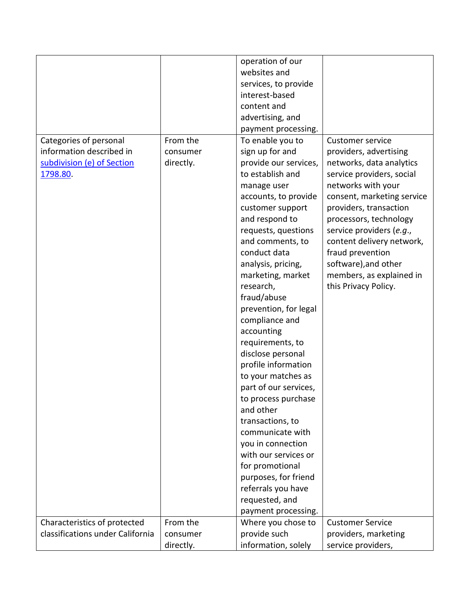|                                  |           | operation of our      |                            |
|----------------------------------|-----------|-----------------------|----------------------------|
|                                  |           | websites and          |                            |
|                                  |           | services, to provide  |                            |
|                                  |           | interest-based        |                            |
|                                  |           | content and           |                            |
|                                  |           | advertising, and      |                            |
|                                  |           |                       |                            |
|                                  |           | payment processing.   |                            |
| Categories of personal           | From the  | To enable you to      | <b>Customer service</b>    |
| information described in         | consumer  | sign up for and       | providers, advertising     |
| subdivision (e) of Section       | directly. | provide our services, | networks, data analytics   |
| 1798.80.                         |           | to establish and      | service providers, social  |
|                                  |           | manage user           | networks with your         |
|                                  |           | accounts, to provide  | consent, marketing service |
|                                  |           | customer support      | providers, transaction     |
|                                  |           | and respond to        | processors, technology     |
|                                  |           | requests, questions   | service providers (e.g.,   |
|                                  |           | and comments, to      | content delivery network,  |
|                                  |           | conduct data          | fraud prevention           |
|                                  |           | analysis, pricing,    | software), and other       |
|                                  |           | marketing, market     | members, as explained in   |
|                                  |           | research,             | this Privacy Policy.       |
|                                  |           | fraud/abuse           |                            |
|                                  |           | prevention, for legal |                            |
|                                  |           | compliance and        |                            |
|                                  |           | accounting            |                            |
|                                  |           | requirements, to      |                            |
|                                  |           | disclose personal     |                            |
|                                  |           | profile information   |                            |
|                                  |           | to your matches as    |                            |
|                                  |           | part of our services, |                            |
|                                  |           | to process purchase   |                            |
|                                  |           | and other             |                            |
|                                  |           | transactions, to      |                            |
|                                  |           | communicate with      |                            |
|                                  |           | you in connection     |                            |
|                                  |           | with our services or  |                            |
|                                  |           | for promotional       |                            |
|                                  |           | purposes, for friend  |                            |
|                                  |           | referrals you have    |                            |
|                                  |           | requested, and        |                            |
|                                  |           | payment processing.   |                            |
| Characteristics of protected     | From the  | Where you chose to    | <b>Customer Service</b>    |
| classifications under California | consumer  | provide such          | providers, marketing       |
|                                  | directly. | information, solely   | service providers,         |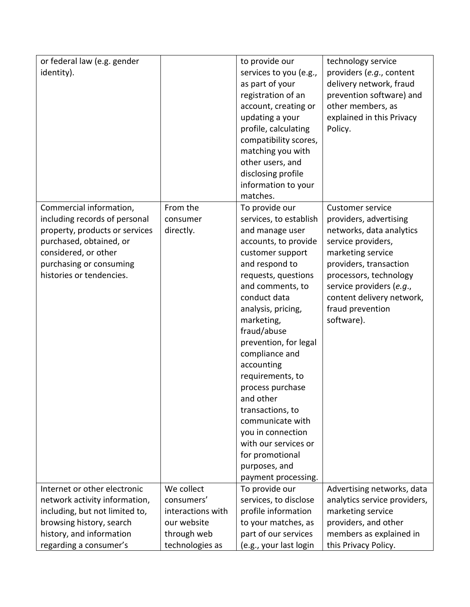| identity).<br>services to you (e.g.,<br>providers (e.g., content<br>as part of your<br>delivery network, fraud<br>registration of an<br>prevention software) and<br>other members, as<br>account, creating or<br>explained in this Privacy<br>updating a your<br>profile, calculating<br>Policy.<br>compatibility scores,<br>matching you with<br>other users, and | or federal law (e.g. gender | to provide our | technology service           |
|--------------------------------------------------------------------------------------------------------------------------------------------------------------------------------------------------------------------------------------------------------------------------------------------------------------------------------------------------------------------|-----------------------------|----------------|------------------------------|
|                                                                                                                                                                                                                                                                                                                                                                    |                             |                |                              |
|                                                                                                                                                                                                                                                                                                                                                                    |                             |                |                              |
|                                                                                                                                                                                                                                                                                                                                                                    |                             |                |                              |
|                                                                                                                                                                                                                                                                                                                                                                    |                             |                |                              |
|                                                                                                                                                                                                                                                                                                                                                                    |                             |                |                              |
|                                                                                                                                                                                                                                                                                                                                                                    |                             |                |                              |
|                                                                                                                                                                                                                                                                                                                                                                    |                             |                |                              |
|                                                                                                                                                                                                                                                                                                                                                                    |                             |                |                              |
|                                                                                                                                                                                                                                                                                                                                                                    |                             |                |                              |
| disclosing profile                                                                                                                                                                                                                                                                                                                                                 |                             |                |                              |
| information to your                                                                                                                                                                                                                                                                                                                                                |                             |                |                              |
| matches.                                                                                                                                                                                                                                                                                                                                                           |                             |                |                              |
| Commercial information,<br>From the<br>To provide our<br><b>Customer service</b>                                                                                                                                                                                                                                                                                   |                             |                |                              |
| including records of personal<br>services, to establish<br>providers, advertising<br>consumer                                                                                                                                                                                                                                                                      |                             |                |                              |
| property, products or services<br>directly.<br>and manage user<br>networks, data analytics                                                                                                                                                                                                                                                                         |                             |                |                              |
| purchased, obtained, or<br>accounts, to provide<br>service providers,                                                                                                                                                                                                                                                                                              |                             |                |                              |
| considered, or other<br>marketing service<br>customer support                                                                                                                                                                                                                                                                                                      |                             |                |                              |
| purchasing or consuming<br>and respond to<br>providers, transaction                                                                                                                                                                                                                                                                                                |                             |                |                              |
| histories or tendencies.<br>processors, technology<br>requests, questions                                                                                                                                                                                                                                                                                          |                             |                |                              |
| and comments, to<br>service providers (e.g.,                                                                                                                                                                                                                                                                                                                       |                             |                |                              |
| conduct data<br>content delivery network,                                                                                                                                                                                                                                                                                                                          |                             |                |                              |
| analysis, pricing,<br>fraud prevention                                                                                                                                                                                                                                                                                                                             |                             |                |                              |
| software).<br>marketing,                                                                                                                                                                                                                                                                                                                                           |                             |                |                              |
| fraud/abuse                                                                                                                                                                                                                                                                                                                                                        |                             |                |                              |
| prevention, for legal                                                                                                                                                                                                                                                                                                                                              |                             |                |                              |
| compliance and                                                                                                                                                                                                                                                                                                                                                     |                             |                |                              |
| accounting                                                                                                                                                                                                                                                                                                                                                         |                             |                |                              |
| requirements, to                                                                                                                                                                                                                                                                                                                                                   |                             |                |                              |
| process purchase                                                                                                                                                                                                                                                                                                                                                   |                             |                |                              |
| and other                                                                                                                                                                                                                                                                                                                                                          |                             |                |                              |
| transactions, to                                                                                                                                                                                                                                                                                                                                                   |                             |                |                              |
| communicate with                                                                                                                                                                                                                                                                                                                                                   |                             |                |                              |
| you in connection                                                                                                                                                                                                                                                                                                                                                  |                             |                |                              |
| with our services or                                                                                                                                                                                                                                                                                                                                               |                             |                |                              |
| for promotional                                                                                                                                                                                                                                                                                                                                                    |                             |                |                              |
| purposes, and                                                                                                                                                                                                                                                                                                                                                      |                             |                |                              |
| payment processing.                                                                                                                                                                                                                                                                                                                                                |                             |                |                              |
| Internet or other electronic<br>We collect<br>To provide our<br>consumers'                                                                                                                                                                                                                                                                                         |                             |                | Advertising networks, data   |
| network activity information,<br>services, to disclose<br>interactions with<br>profile information                                                                                                                                                                                                                                                                 |                             |                | analytics service providers, |
| including, but not limited to,<br>marketing service<br>browsing history, search<br>our website<br>to your matches, as                                                                                                                                                                                                                                              |                             |                |                              |
| providers, and other<br>through web<br>history, and information<br>part of our services<br>members as explained in                                                                                                                                                                                                                                                 |                             |                |                              |
| technologies as<br>(e.g., your last login<br>regarding a consumer's<br>this Privacy Policy.                                                                                                                                                                                                                                                                        |                             |                |                              |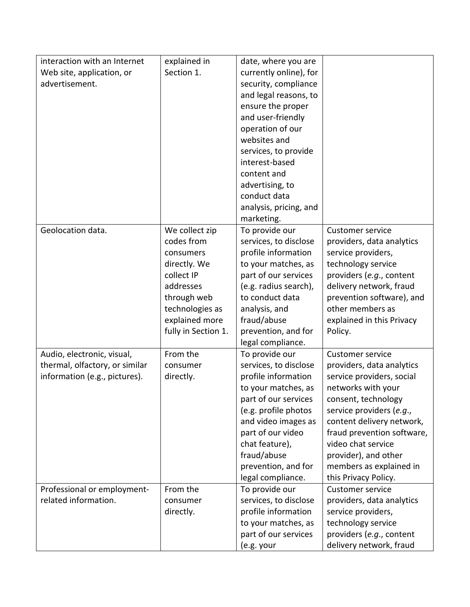| interaction with an Internet   | explained in        | date, where you are    |                            |
|--------------------------------|---------------------|------------------------|----------------------------|
| Web site, application, or      | Section 1.          | currently online), for |                            |
| advertisement.                 |                     | security, compliance   |                            |
|                                |                     | and legal reasons, to  |                            |
|                                |                     | ensure the proper      |                            |
|                                |                     | and user-friendly      |                            |
|                                |                     | operation of our       |                            |
|                                |                     | websites and           |                            |
|                                |                     | services, to provide   |                            |
|                                |                     | interest-based         |                            |
|                                |                     | content and            |                            |
|                                |                     | advertising, to        |                            |
|                                |                     | conduct data           |                            |
|                                |                     | analysis, pricing, and |                            |
|                                |                     | marketing.             |                            |
| Geolocation data.              | We collect zip      | To provide our         | <b>Customer service</b>    |
|                                | codes from          | services, to disclose  | providers, data analytics  |
|                                | consumers           | profile information    | service providers,         |
|                                | directly. We        | to your matches, as    | technology service         |
|                                | collect IP          | part of our services   | providers (e.g., content   |
|                                | addresses           | (e.g. radius search),  | delivery network, fraud    |
|                                | through web         | to conduct data        | prevention software), and  |
|                                | technologies as     | analysis, and          | other members as           |
|                                | explained more      | fraud/abuse            | explained in this Privacy  |
|                                | fully in Section 1. | prevention, and for    | Policy.                    |
|                                |                     | legal compliance.      |                            |
| Audio, electronic, visual,     | From the            | To provide our         | <b>Customer service</b>    |
| thermal, olfactory, or similar | consumer            | services, to disclose  | providers, data analytics  |
| information (e.g., pictures).  | directly.           | profile information    | service providers, social  |
|                                |                     | to your matches, as    | networks with your         |
|                                |                     | part of our services   | consent, technology        |
|                                |                     | (e.g. profile photos   | service providers (e.g.,   |
|                                |                     | and video images as    | content delivery network,  |
|                                |                     | part of our video      | fraud prevention software, |
|                                |                     | chat feature),         | video chat service         |
|                                |                     | fraud/abuse            | provider), and other       |
|                                |                     | prevention, and for    | members as explained in    |
|                                |                     | legal compliance.      | this Privacy Policy.       |
| Professional or employment-    | From the            | To provide our         | <b>Customer service</b>    |
| related information.           | consumer            | services, to disclose  | providers, data analytics  |
|                                | directly.           | profile information    | service providers,         |
|                                |                     | to your matches, as    | technology service         |
|                                |                     | part of our services   | providers (e.g., content   |
|                                |                     | (e.g. your             | delivery network, fraud    |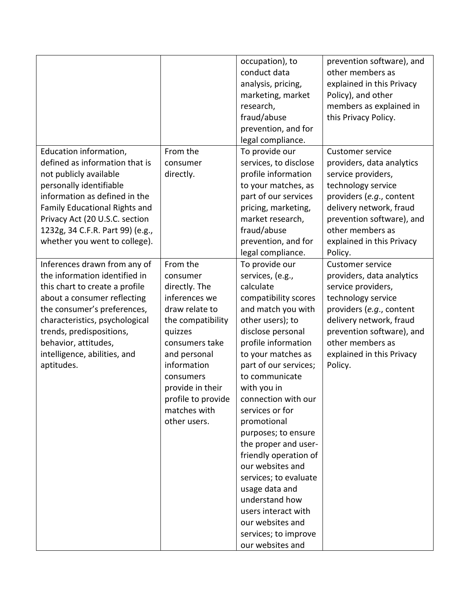|                                  |                    | occupation), to       | prevention software), and |
|----------------------------------|--------------------|-----------------------|---------------------------|
|                                  |                    | conduct data          | other members as          |
|                                  |                    | analysis, pricing,    | explained in this Privacy |
|                                  |                    | marketing, market     | Policy), and other        |
|                                  |                    | research,             | members as explained in   |
|                                  |                    | fraud/abuse           | this Privacy Policy.      |
|                                  |                    | prevention, and for   |                           |
|                                  |                    | legal compliance.     |                           |
| Education information,           | From the           | To provide our        | <b>Customer service</b>   |
| defined as information that is   | consumer           | services, to disclose | providers, data analytics |
| not publicly available           | directly.          | profile information   | service providers,        |
| personally identifiable          |                    | to your matches, as   | technology service        |
| information as defined in the    |                    | part of our services  | providers (e.g., content  |
| Family Educational Rights and    |                    | pricing, marketing,   | delivery network, fraud   |
| Privacy Act (20 U.S.C. section   |                    | market research,      | prevention software), and |
| 1232g, 34 C.F.R. Part 99) (e.g., |                    | fraud/abuse           | other members as          |
| whether you went to college).    |                    | prevention, and for   | explained in this Privacy |
|                                  |                    | legal compliance.     | Policy.                   |
| Inferences drawn from any of     | From the           |                       | <b>Customer service</b>   |
| the information identified in    |                    | To provide our        |                           |
|                                  | consumer           | services, (e.g.,      | providers, data analytics |
| this chart to create a profile   | directly. The      | calculate             | service providers,        |
| about a consumer reflecting      | inferences we      | compatibility scores  | technology service        |
| the consumer's preferences,      | draw relate to     | and match you with    | providers (e.g., content  |
| characteristics, psychological   | the compatibility  | other users); to      | delivery network, fraud   |
| trends, predispositions,         | quizzes            | disclose personal     | prevention software), and |
| behavior, attitudes,             | consumers take     | profile information   | other members as          |
| intelligence, abilities, and     | and personal       | to your matches as    | explained in this Privacy |
| aptitudes.                       | information        | part of our services; | Policy.                   |
|                                  | consumers          | to communicate        |                           |
|                                  | provide in their   | with you in           |                           |
|                                  | profile to provide | connection with our   |                           |
|                                  | matches with       | services or for       |                           |
|                                  | other users.       | promotional           |                           |
|                                  |                    | purposes; to ensure   |                           |
|                                  |                    | the proper and user-  |                           |
|                                  |                    | friendly operation of |                           |
|                                  |                    | our websites and      |                           |
|                                  |                    | services; to evaluate |                           |
|                                  |                    | usage data and        |                           |
|                                  |                    | understand how        |                           |
|                                  |                    | users interact with   |                           |
|                                  |                    | our websites and      |                           |
|                                  |                    | services; to improve  |                           |
|                                  |                    | our websites and      |                           |